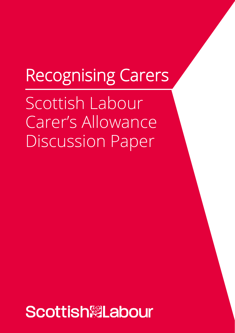# Recognising Carers

Scottish Labour Carer's Allowance Discussion Paper

**Scottish<sup></sup>/abour**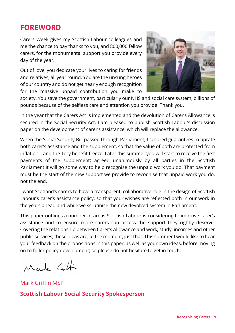### **FOREWORD**

Carers Week gives my Scottish Labour colleagues and me the chance to pay thanks to you, and 800,000 fellow carers, for the monumental support you provide every day of the year.

Out of love, you dedicate your lives to caring for friends and relatives, all year round. You are the unsung heroes of our country and do not get nearly enough recognition for the massive unpaid contribution you make to



society. You save the government, particularly our NHS and social care system, billions of pounds because of the selfless care and attention you provide. Thank you.

In the year that the Carers Act is implemented and the devolution of Carer's Allowance is secured in the Social Security Act, I am pleased to publish Scottish Labour's discussion paper on the development of carer's assistance, which will replace the allowance.

When the Social Security Bill passed through Parliament, I secured guarantees to uprate both carer's assistance and the supplement, so that the value of both are protected from inflation – and the Tory benefit freeze. Later this summer you will start to receive the first payments of the supplement; agreed unanimously by all parties in the Scottish Parliament it will go some way to help recognise the unpaid work you do. That payment must be the start of the new support we provide to recognise that unpaid work you do, not the end.

I want Scotland's carers to have a transparent, collaborative role in the design of Scottish Labour's carer's assistance policy, so that your wishes are reflected both in our work in the years ahead and while we scrutinise the new devolved system in Parliament.

This paper outlines a number of areas Scottish Labour is considering to improve carer's assistance and to ensure more carers can access the support they rightly deserve. Covering the relationship between Carer's Allowance and work, study, incomes and other public services, these ideas are, at the moment, just that. This summer I would like to hear your feedback on the propositions in this paper, as well as your own ideas, before moving on to fuller policy development; so please do not hesitate to get in touch.

Made Citti

Mark Griffin MSP

#### **Scottish Labour Social Security Spokesperson**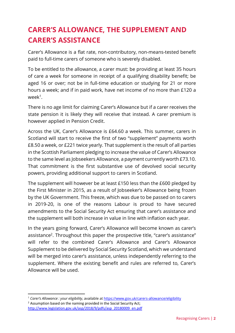# **CARER'S ALLOWANCE, THE SUPPLEMENT AND CARER'S ASSISTANCE**

Carer's Allowance is a flat rate, non-contributory, non-means-tested benefit paid to full-time carers of someone who is severely disabled.

To be entitled to the allowance, a carer must: be providing at least 35 hours of care a week for someone in receipt of a qualifying disability benefit; be aged 16 or over; not be in full-time education or studying for 21 or more hours a week; and if in paid work, have net income of no more than £120 a week<sup>1</sup>.

There is no age limit for claiming Carer's Allowance but if a carer receives the state pension it is likely they will receive that instead. A carer premium is however applied in Pension Credit.

Across the UK, Carer's Allowance is £64.60 a week. This summer, carers in Scotland will start to receive the first of two "supplement" payments worth £8.50 a week, or £221 twice yearly. That supplement is the result of all parties in the Scottish Parliament pledging to increase the value of Carer's Allowance to the same level as Jobseekers Allowance, a payment currently worth £73.10. That commitment is the first substantive use of devolved social security powers, providing additional support to carers in Scotland.

The supplement will however be at least £150 less than the £600 pledged by the First Minister in 2015, as a result of Jobseeker's Allowance being frozen by the UK Government. This freeze, which was due to be passed on to carers in 2019-20, is one of the reasons Labour is proud to have secured amendments to the Social Security Act ensuring that carer's assistance and the supplement will both increase in value in line with inflation each year.

In the years going forward, Carer's Allowance will become known as carer's assistance<sup>2</sup>. Throughout this paper the prospective title, "carer's assistance" will refer to the combined Carer's Allowance and Carer's Allowance Supplement to be delivered by Social Security Scotland, which we understand will be merged into carer's assistance, unless independently referring to the supplement. Where the existing benefit and rules are referred to, Carer's Allowance will be used.

<sup>1</sup> *Carer's Allowance : your eligibility*, available at https://www.gov.uk/carers-allowance/eligibility

 $2$  Assumption based on the naming provided in the Social Security Act; http://www.legislation.gov.uk/asp/2018/9/pdfs/asp\_20180009\_en.pdf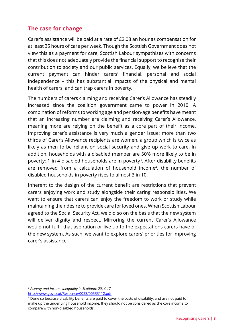#### **The case for change**

Carer's assistance will be paid at a rate of £2.08 an hour as compensation for at least 35 hours of care per week. Though the Scottish Government does not view this as a payment for care, Scottish Labour sympathises with concerns that this does not adequately provide the financial support to recognise their contribution to society and our public services. Equally, we believe that the current payment can hinder carers' financial, personal and social independence – this has substantial impacts of the physical and mental health of carers, and can trap carers in poverty.

The numbers of carers claiming and receiving Carer's Allowance has steadily increased since the coalition government came to power in 2010. A combination of reforms to working age and pension-age benefits have meant that an increasing number are claiming and receiving Carer's Allowance, meaning more are relying on the benefit as a core part of their income. Improving carer's assistance is very much a gender issue: more than two thirds of Carer's Allowance recipients are women, a group which is twice as likely as men to be reliant on social security and give up work to care. In addition, households with a disabled member are 50% more likely to be in poverty; 1 in 4 disabled households are in poverty<sup>3</sup>. After disability benefits are removed from a calculation of household income<sup>4</sup>, the number of disabled households in poverty rises to almost 3 in 10.

Inherent to the design of the current benefit are restrictions that prevent carers enjoying work and study alongside their caring responsibilities. We want to ensure that carers can enjoy the freedom to work or study while maintaining their desire to provide care for loved ones. When Scottish Labour agreed to the Social Security Act, we did so on the basis that the new system will deliver dignity and respect. Mirroring the current Carer's Allowance would not fulfil that aspiration or live up to the expectations carers have of the new system. As such, we want to explore carers' priorities for improving carer's assistance.

<sup>3</sup> *Poverty and Income Inequality in Scotland: 2014-17*, http://www.gov.scot/Resource/0053/00533112.pdf

<sup>4</sup> Done so because disability benefits are paid to cover the costs of disability, and are not paid to make up the underlying household income, they should not be considered as the core income to compare with non-disabled households.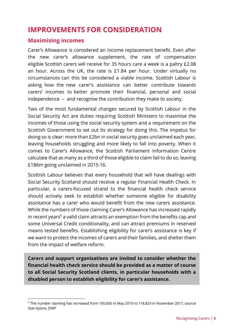## **IMPROVEMENTS FOR CONSIDERATION**

#### **Maximising incomes**

Carer's Allowance is considered an income replacement benefit. Even after the new carer's allowance supplement, the rate of compensation eligible Scottish carers will receive for 35 hours care a week is a paltry £2.08 an hour. Across the UK, the rate is £1.84 per hour. Under virtually no circumstances can this be considered a viable income. Scottish Labour is asking how the new carer's assistance can better contribute towards carers' incomes to better promote their financial, personal and social independence – and recognise the contribution they make to society.

Two of the most fundamental changes secured by Scottish Labour in the Social Security Act are duties requiring Scottish Ministers to maximise the incomes of those using the social security system and a requirement on the Scottish Government to set out its strategy for doing this. The impetus for doing so is clear: more than £2bn in social security goes unclaimed each year, leaving households struggling and more likely to fall into poverty. When it comes to Carer's Allowance, the Scottish Parliament Information Centre calculate that as many as a third of those eligible to claim fail to do so, leaving £186m going unclaimed in 2015-16.

Scottish Labour believes that every household that will have dealings with Social Security Scotland should receive a regular Financial Health Check. In particular, a carers-focused strand to the financial health check service should actively seek to establish whether someone eligible for disability assistance has a carer who would benefit from the new carers assistance. While the numbers of those claiming Carer's Allowance has increased rapidly in recent years<sup>5</sup> a valid claim attracts an exemption from the benefits cap and some Universal Credit conditionality, and can attract premiums in reserved means tested benefits. Establishing eligibility for carer's assistance is key if we want to protect the incomes of carers and their families, and shelter them from the impact of welfare reform.

**Carers and support organisations are invited to consider whether the financial health check service should be provided as a matter of course to all Social Security Scotland clients, in particular households with a disabled person to establish eligibility for carer's assistance.** 

<sup>&</sup>lt;sup>5</sup> The number claiming has increased from 100,600 in May 2010 to 118,829 in November 2017, source Stat-Xplore, DWP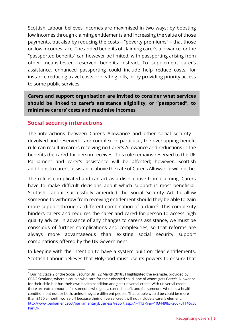Scottish Labour believes incomes are maximised in two ways: by boosting low incomes through claiming entitlements and increasing the value of those payments, but also by reducing the costs – "poverty premiums" – that those on low incomes face. The added benefits of claiming carer's allowance, or the "passported benefits" can however be limited, with passporting arising from other means-tested reserved benefits instead. To supplement carer's assistance, enhanced passporting could include help reduce costs, for instance reducing travel costs or heating bills, or by providing priority access to some public services.

**Carers and support organisation are invited to consider what services should be linked to carer's assistance eligibility, or "passported", to minimise carers' costs and maximise incomes** 

#### **Social security interactions**

The interactions between Carer's Allowance and other social security – devolved and reserved – are complex. In particular, the overlapping benefit rule can result in carers receiving no Carer's Allowance and reductions in the benefits the cared-for-person receives. This rule remains reserved to the UK Parliament and carer's assistance will be affected; however, Scottish additions to carer's assistance above the rate of Carer's Allowance will not be.

The rule is complicated and can act as a disincentive from claiming. Carers have to make difficult decisions about which support is most beneficial. Scottish Labour successfully amended the Social Security Act to allow someone to withdraw from receiving entitlement should they be able to gain more support through a different combination of a claim<sup>6</sup>. This complexity hinders carers and requires the carer and cared-for-person to access high quality advice. In advance of any changes to carer's assistance, we must be conscious of further complications and complexities, so that reforms are always more advantageous than existing social security support combinations offered by the UK Government.

In keeping with the intention to have a system built on clear entitlements, Scottish Labour believes that Holyrood must use its powers to ensure that

<sup>6</sup> During Stage 2 of the Social Security Bill (22 March 2018), I highlighted the example, provided by CPAG Scotland, where a couple who care for their disabled child, one of whom gets Carer's Allowance for their child but has their own health condition and gets universal credit. With universal credit, there are extra amounts for someone who gets a carers benefit and for someone who has a health condition, but not for both, unless they are different people. That couple would be could be more than £150 a month worse off because their universal credit will not include a carer's element. http://www.parliament.scot/parliamentarybusiness/report.aspx?r=11379&i=103449&c=2067011#Scot ParlOR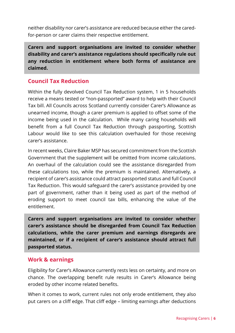neither disability nor carer's assistance are reduced because either the caredfor-person or carer claims their respective entitlement.

**Carers and support organisations are invited to consider whether disability and carer's assistance regulations should specifically rule out any reduction in entitlement where both forms of assistance are claimed.** 

#### **Council Tax Reduction**

Within the fully devolved Council Tax Reduction system, 1 in 5 households receive a means tested or "non-passported" award to help with their Council Tax bill. All Councils across Scotland currently consider Carer's Allowance as unearned income, though a carer premium is applied to offset some of the income being used in the calculation. While many caring households will benefit from a full Council Tax Reduction through passporting, Scottish Labour would like to see this calculation overhauled for those receiving carer's assistance.

In recent weeks, Claire Baker MSP has secured commitment from the Scottish Government that the supplement will be omitted from income calculations. An overhaul of the calculation could see the assistance disregarded from these calculations too, while the premium is maintained. Alternatively, a recipient of carer's assistance could attract passported status and full Council Tax Reduction. This would safeguard the carer's assistance provided by one part of government, rather than it being used as part of the method of eroding support to meet council tax bills, enhancing the value of the entitlement.

**Carers and support organisations are invited to consider whether carer's assistance should be disregarded from Council Tax Reduction calculations, while the carer premium and earnings disregards are maintained, or if a recipient of carer's assistance should attract full passported status.**

#### **Work & earnings**

Eligibility for Carer's Allowance currently rests less on certainty, and more on chance. The overlapping benefit rule results in Carer's Allowance being eroded by other income related benefits.

When it comes to work, current rules not only erode entitlement, they also put carers on a cliff edge. That cliff edge – limiting earnings after deductions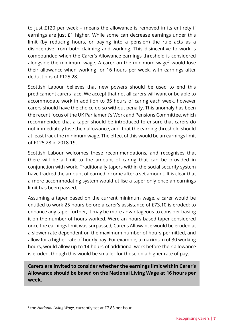to just £120 per week – means the allowance is removed in its entirety if earnings are just £1 higher. While some can decrease earnings under this limit (by reducing hours, or paying into a pension) the rule acts as a disincentive from both claiming and working. This disincentive to work is compounded when the Carer's Allowance earnings threshold is considered alongside the minimum wage. A carer on the minimum wage<sup>7</sup> would lose their allowance when working for 16 hours per week, with earnings after deductions of £125.28.

Scottish Labour believes that new powers should be used to end this predicament carers face. We accept that not all carers will want or be able to accommodate work in addition to 35 hours of caring each week, however carers should have the choice do so without penalty. This anomaly has been the recent focus of the UK Parliament's Work and Pensions Committee, which recommended that a taper should be introduced to ensure that carers do not immediately lose their allowance, and, that the earning threshold should at least track the minimum wage. The effect of this would be an earnings limit of £125.28 in 2018-19.

Scottish Labour welcomes these recommendations, and recognises that there will be a limit to the amount of caring that can be provided in conjunction with work. Traditionally tapers within the social security system have tracked the amount of earned income after a set amount. It is clear that a more accommodating system would utilise a taper only once an earnings limit has been passed.

Assuming a taper based on the current minimum wage, a carer would be entitled to work 25 hours before a carer's assistance of £73.10 is eroded; to enhance any taper further, it may be more advantageous to consider basing it on the number of hours worked. Were an hours based taper considered once the earnings limit was surpassed, Carer's Allowance would be eroded at a slower rate dependent on the maximum number of hours permitted, and allow for a higher rate of hourly pay. For example, a maximum of 30 working hours, would allow up to 14 hours of additional work before their allowance is eroded, though this would be smaller for those on a higher rate of pay.

**Carers are invited to consider whether the earnings limit within Carer's Allowance should be based on the National Living Wage at 16 hours per week.** 

<sup>7</sup> the *National Living Wage*, currently set at £7.83 per hour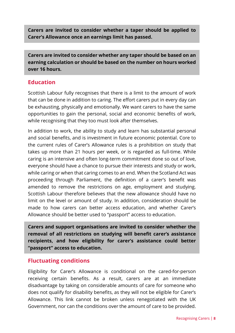**Carers are invited to consider whether a taper should be applied to Carer's Allowance once an earnings limit has passed.** 

**Carers are invited to consider whether any taper should be based on an earning calculation or should be based on the number on hours worked over 16 hours.** 

#### **Education**

Scottish Labour fully recognises that there is a limit to the amount of work that can be done in addition to caring. The effort carers put in every day can be exhausting, physically and emotionally. We want carers to have the same opportunities to gain the personal, social and economic benefits of work, while recognising that they too must look after themselves.

In addition to work, the ability to study and learn has substantial personal and social benefits, and is investment in future economic potential. Core to the current rules of Carer's Allowance rules is a prohibition on study that takes up more than 21 hours per week, or is regarded as full-time. While caring is an intensive and often long-term commitment done so out of love, everyone should have a chance to pursue their interests and study or work, while caring or when that caring comes to an end. When the Scotland Act was proceeding through Parliament, the definition of a carer's benefit was amended to remove the restrictions on age, employment and studying. Scottish Labour therefore believes that the new allowance should have no limit on the level or amount of study. In addition, consideration should be made to how carers can better access education, and whether Carer's Allowance should be better used to "passport" access to education.

**Carers and support organisations are invited to consider whether the removal of all restrictions on studying will benefit carer's assistance recipients, and how eligibility for carer's assistance could better "passport" access to education.**

#### **Fluctuating conditions**

Eligibility for Carer's Allowance is conditional on the cared-for-person receiving certain benefits. As a result, carers are at an immediate disadvantage by taking on considerable amounts of care for someone who does not qualify for disability benefits, as they will not be eligible for Carer's Allowance. This link cannot be broken unless renegotiated with the UK Government, nor can the conditions over the amount of care to be provided.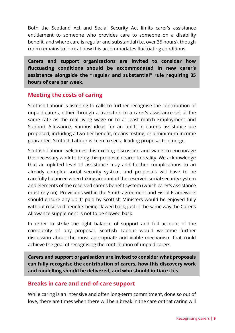Both the Scotland Act and Social Security Act limits carer's assistance entitlement to someone who provides care to someone on a disability benefit, and where care is regular and substantial (i.e. over 35 hours), though room remains to look at how this accommodates fluctuating conditions.

**Carers and support organisations are invited to consider how fluctuating conditions should be accommodated in new carer's assistance alongside the "regular and substantial" rule requiring 35 hours of care per week.**

#### **Meeting the costs of caring**

Scottish Labour is listening to calls to further recognise the contribution of unpaid carers, either through a transition to a carer's assistance set at the same rate as the real living wage or to at least match Employment and Support Allowance. Various ideas for an uplift in carer's assistance are proposed, including a two-tier benefit, means testing, or a minimum-income guarantee. Scottish Labour is keen to see a leading proposal to emerge.

Scottish Labour welcomes this exciting discussion and wants to encourage the necessary work to bring this proposal nearer to reality. We acknowledge that an uplifted level of assistance may add further complications to an already complex social security system, and proposals will have to be carefully balanced when taking account of the reserved social security system and elements of the reserved carer's benefit system (which carer's assistance must rely on). Provisions within the Smith agreement and Fiscal Framework should ensure any uplift paid by Scottish Ministers would be enjoyed fully without reserved benefits being clawed back, just in the same way the Carer's Allowance supplement is not to be clawed back.

In order to strike the right balance of support and full account of the complexity of any proposal, Scottish Labour would welcome further discussion about the most appropriate and viable mechanism that could achieve the goal of recognising the contribution of unpaid carers.

**Carers and support organisation are invited to consider what proposals can fully recognise the contribution of carers, how this discovery work and modelling should be delivered, and who should initiate this.** 

#### **Breaks in care and end-of-care support**

While caring is an intensive and often long-term commitment, done so out of love, there are times when there will be a break in the care or that caring will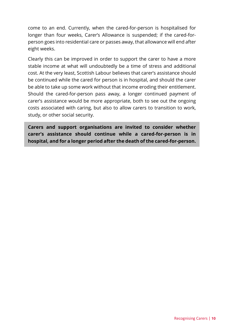come to an end. Currently, when the cared-for-person is hospitalised for longer than four weeks, Carer's Allowance is suspended; if the cared-forperson goes into residential care or passes away, that allowance will end after eight weeks.

Clearly this can be improved in order to support the carer to have a more stable income at what will undoubtedly be a time of stress and additional cost. At the very least, Scottish Labour believes that carer's assistance should be continued while the cared for person is in hospital, and should the carer be able to take up some work without that income eroding their entitlement. Should the cared-for-person pass away, a longer continued payment of carer's assistance would be more appropriate, both to see out the ongoing costs associated with caring, but also to allow carers to transition to work, study, or other social security.

**Carers and support organisations are invited to consider whether carer's assistance should continue while a cared-for-person is in hospital, and for a longer period after the death of the cared-for-person.**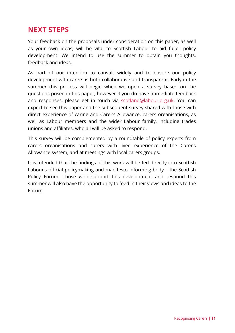## **NEXT STEPS**

Your feedback on the proposals under consideration on this paper, as well as your own ideas, will be vital to Scottish Labour to aid fuller policy development. We intend to use the summer to obtain you thoughts, feedback and ideas.

As part of our intention to consult widely and to ensure our policy development with carers is both collaborative and transparent. Early in the summer this process will begin when we open a survey based on the questions posed in this paper, however if you do have immediate feedback and responses, please get in touch via scotland@labour.org.uk. You can expect to see this paper and the subsequent survey shared with those with direct experience of caring and Carer's Allowance, carers organisations, as well as Labour members and the wider Labour family, including trades unions and affiliates, who all will be asked to respond.

This survey will be complemented by a roundtable of policy experts from carers organisations and carers with lived experience of the Carer's Allowance system, and at meetings with local carers groups.

It is intended that the findings of this work will be fed directly into Scottish Labour's official policymaking and manifesto informing body – the Scottish Policy Forum. Those who support this development and respond this summer will also have the opportunity to feed in their views and ideas to the Forum.